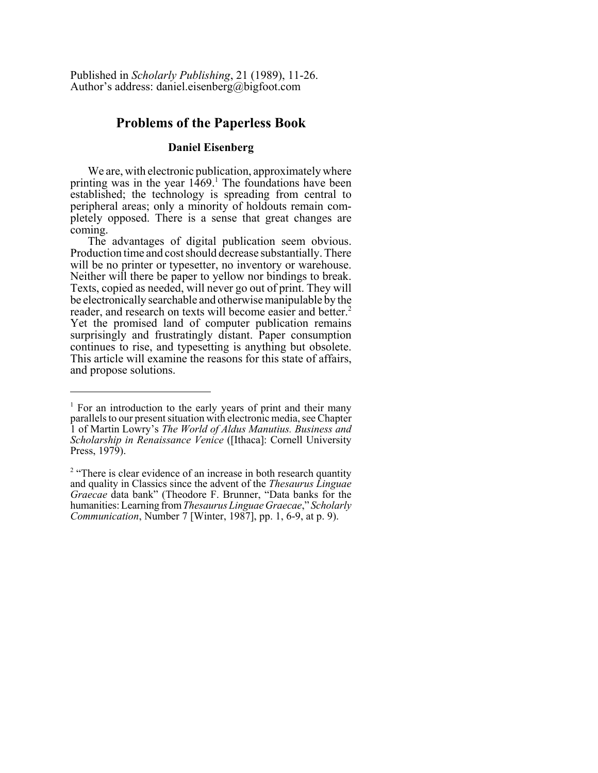Published in *Scholarly Publishing*, 21 (1989), 11-26. Author's address: daniel.eisenberg@bigfoot.com

# **Problems of the Paperless Book**

### **Daniel Eisenberg**

We are, with electronic publication, approximately where printing was in the year  $1469$ .<sup>1</sup> The foundations have been established; the technology is spreading from central to peripheral areas; only a minority of holdouts remain completely opposed. There is a sense that great changes are coming.

The advantages of digital publication seem obvious. Production time and cost should decrease substantially. There will be no printer or typesetter, no inventory or warehouse. Neither will there be paper to yellow nor bindings to break. Texts, copied as needed, will never go out of print. They will be electronically searchable and otherwise manipulable by the reader, and research on texts will become easier and better.<sup>2</sup> Yet the promised land of computer publication remains surprisingly and frustratingly distant. Paper consumption continues to rise, and typesetting is anything but obsolete. This article will examine the reasons for this state of affairs, and propose solutions.

<sup>&</sup>lt;sup>1</sup> For an introduction to the early years of print and their many parallels to our present situation with electronic media, see Chapter 1 of Martin Lowry's *The World of Aldus Manutius. Business and Scholarship in Renaissance Venice* ([Ithaca]: Cornell University Press, 1979).

<sup>&</sup>lt;sup>2</sup> "There is clear evidence of an increase in both research quantity and quality in Classics since the advent of the *Thesaurus Linguae Graecae* data bank" (Theodore F. Brunner, "Data banks for the humanities: Learning from *Thesaurus Linguae Graecae*," *Scholarly Communication*, Number 7 [Winter, 1987], pp. 1, 6-9, at p. 9).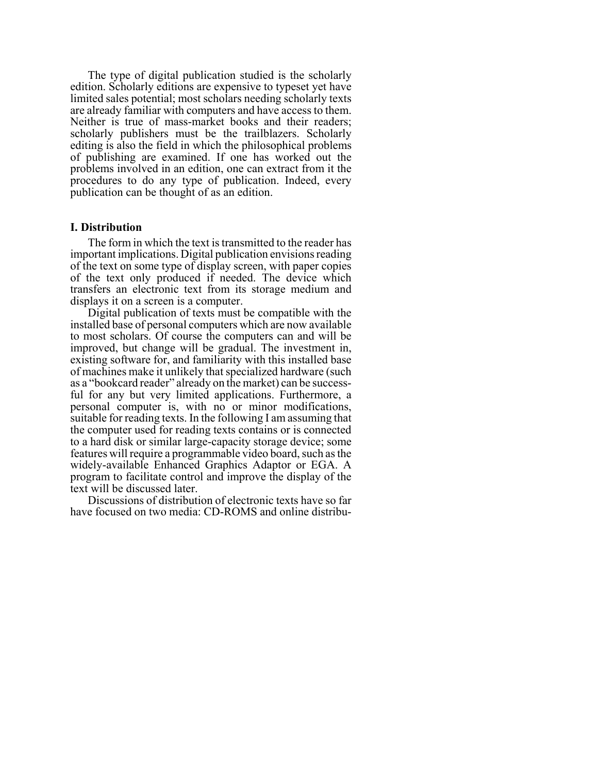The type of digital publication studied is the scholarly edition. Scholarly editions are expensive to typeset yet have limited sales potential; most scholars needing scholarly texts are already familiar with computers and have access to them. Neither is true of mass-market books and their readers; scholarly publishers must be the trailblazers. Scholarly editing is also the field in which the philosophical problems of publishing are examined. If one has worked out the problems involved in an edition, one can extract from it the procedures to do any type of publication. Indeed, every publication can be thought of as an edition.

#### **I. Distribution**

The form in which the text is transmitted to the reader has important implications. Digital publication envisions reading of the text on some type of display screen, with paper copies of the text only produced if needed. The device which transfers an electronic text from its storage medium and displays it on a screen is a computer.

Digital publication of texts must be compatible with the installed base of personal computers which are now available to most scholars. Of course the computers can and will be improved, but change will be gradual. The investment in, existing software for, and familiarity with this installed base of machines make it unlikely that specialized hardware (such as a "bookcard reader" already on the market) can be successful for any but very limited applications. Furthermore, a personal computer is, with no or minor modifications, suitable for reading texts. In the following I am assuming that the computer used for reading texts contains or is connected to a hard disk or similar large-capacity storage device; some features will require a programmable video board, such as the widely-available Enhanced Graphics Adaptor or EGA. A program to facilitate control and improve the display of the text will be discussed later.

Discussions of distribution of electronic texts have so far have focused on two media: CD-ROMS and online distribu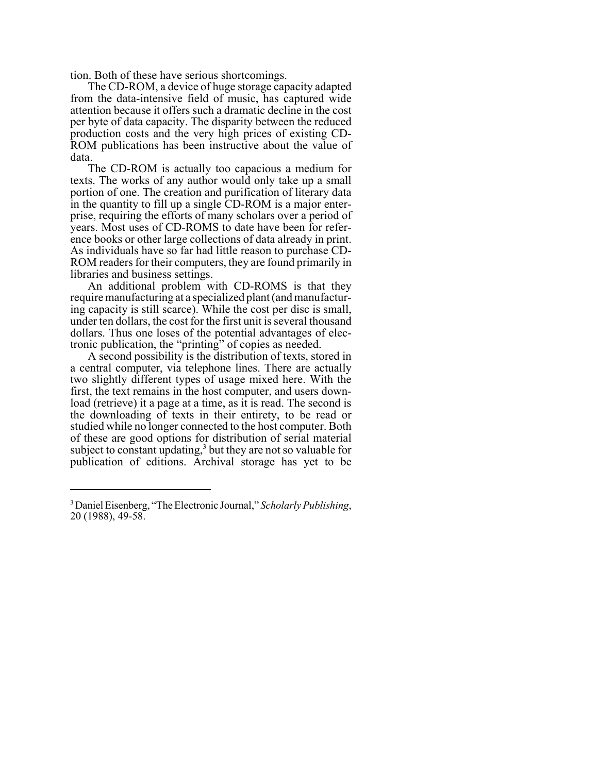tion. Both of these have serious shortcomings.

The CD-ROM, a device of huge storage capacity adapted from the data-intensive field of music, has captured wide attention because it offers such a dramatic decline in the cost per byte of data capacity. The disparity between the reduced production costs and the very high prices of existing CD-ROM publications has been instructive about the value of data.

The CD-ROM is actually too capacious a medium for texts. The works of any author would only take up a small portion of one. The creation and purification of literary data in the quantity to fill up a single CD-ROM is a major enterprise, requiring the efforts of many scholars over a period of years. Most uses of CD-ROMS to date have been for reference books or other large collections of data already in print. As individuals have so far had little reason to purchase CD-ROM readers for their computers, they are found primarily in libraries and business settings.

An additional problem with CD-ROMS is that they require manufacturing at a specialized plant (and manufacturing capacity is still scarce). While the cost per disc is small, under ten dollars, the cost for the first unit is several thousand dollars. Thus one loses of the potential advantages of electronic publication, the "printing" of copies as needed.

A second possibility is the distribution of texts, stored in a central computer, via telephone lines. There are actually two slightly different types of usage mixed here. With the first, the text remains in the host computer, and users download (retrieve) it a page at a time, as it is read. The second is the downloading of texts in their entirety, to be read or studied while no longer connected to the host computer. Both of these are good options for distribution of serial material subject to constant updating, $3$  but they are not so valuable for publication of editions. Archival storage has yet to be

<sup>3</sup> Daniel Eisenberg, "The Electronic Journal," *Scholarly Publishing*, 20 (1988), 49-58.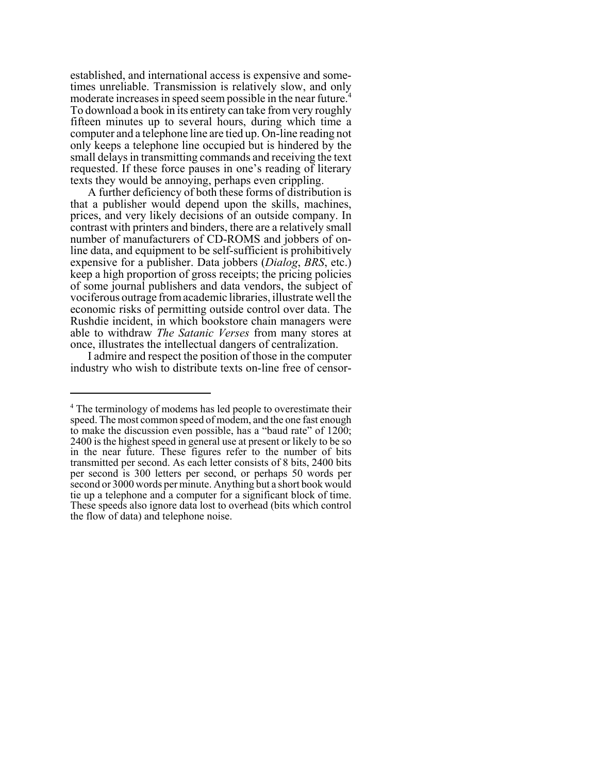established, and international access is expensive and sometimes unreliable. Transmission is relatively slow, and only moderate increases in speed seem possible in the near future.<sup>4</sup> To download a book in its entirety can take from very roughly fifteen minutes up to several hours, during which time a computer and a telephone line are tied up. On-line reading not only keeps a telephone line occupied but is hindered by the small delays in transmitting commands and receiving the text requested. If these force pauses in one's reading of literary texts they would be annoying, perhaps even crippling.

A further deficiency of both these forms of distribution is that a publisher would depend upon the skills, machines, prices, and very likely decisions of an outside company. In contrast with printers and binders, there are a relatively small number of manufacturers of CD-ROMS and jobbers of online data, and equipment to be self-sufficient is prohibitively expensive for a publisher. Data jobbers (*Dialog*, *BRS*, etc.) keep a high proportion of gross receipts; the pricing policies of some journal publishers and data vendors, the subject of vociferous outrage from academic libraries, illustrate well the economic risks of permitting outside control over data. The Rushdie incident, in which bookstore chain managers were able to withdraw *The Satanic Verses* from many stores at once, illustrates the intellectual dangers of centralization.

I admire and respect the position of those in the computer industry who wish to distribute texts on-line free of censor-

<sup>&</sup>lt;sup>4</sup> The terminology of modems has led people to overestimate their speed. The most common speed of modem, and the one fast enough to make the discussion even possible, has a "baud rate" of 1200; 2400 is the highest speed in general use at present or likely to be so in the near future. These figures refer to the number of bits transmitted per second. As each letter consists of 8 bits, 2400 bits per second is 300 letters per second, or perhaps 50 words per second or 3000 words per minute. Anything but a short book would tie up a telephone and a computer for a significant block of time. These speeds also ignore data lost to overhead (bits which control the flow of data) and telephone noise.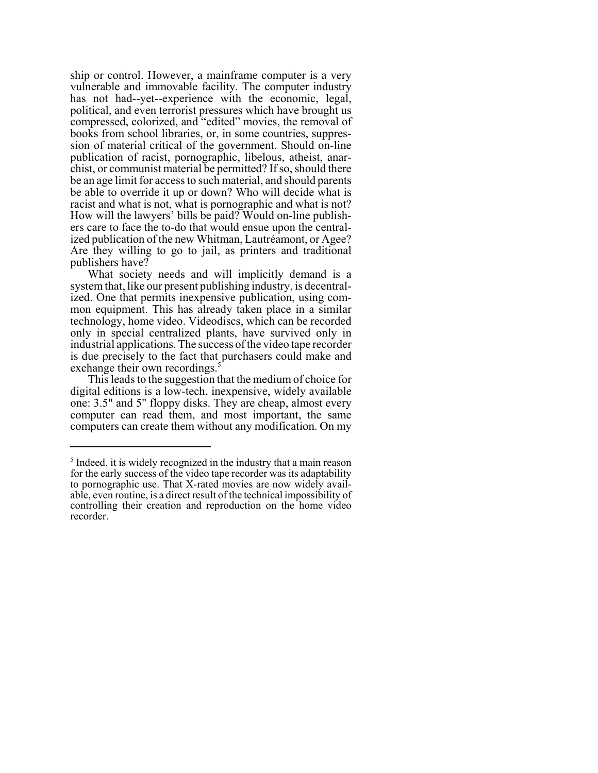ship or control. However, a mainframe computer is a very vulnerable and immovable facility. The computer industry has not had--yet--experience with the economic, legal, political, and even terrorist pressures which have brought us compressed, colorized, and "edited" movies, the removal of books from school libraries, or, in some countries, suppression of material critical of the government. Should on-line publication of racist, pornographic, libelous, atheist, anarchist, or communist material be permitted? If so, should there be an age limit for access to such material, and should parents be able to override it up or down? Who will decide what is racist and what is not, what is pornographic and what is not? How will the lawyers' bills be paid? Would on-line publishers care to face the to-do that would ensue upon the centralized publication of the new Whitman, Lautréamont, or Agee? Are they willing to go to jail, as printers and traditional publishers have?

What society needs and will implicitly demand is a system that, like our present publishing industry, is decentralized. One that permits inexpensive publication, using common equipment. This has already taken place in a similar technology, home video. Videodiscs, which can be recorded only in special centralized plants, have survived only in industrial applications. The success of the video tape recorder is due precisely to the fact that purchasers could make and exchange their own recordings.<sup>5</sup>

This leads to the suggestion that the medium of choice for digital editions is a low-tech, inexpensive, widely available one: 3.5" and 5" floppy disks. They are cheap, almost every computer can read them, and most important, the same computers can create them without any modification. On my

<sup>&</sup>lt;sup>5</sup> Indeed, it is widely recognized in the industry that a main reason for the early success of the video tape recorder was its adaptability to pornographic use. That X-rated movies are now widely available, even routine, is a direct result of the technical impossibility of controlling their creation and reproduction on the home video recorder.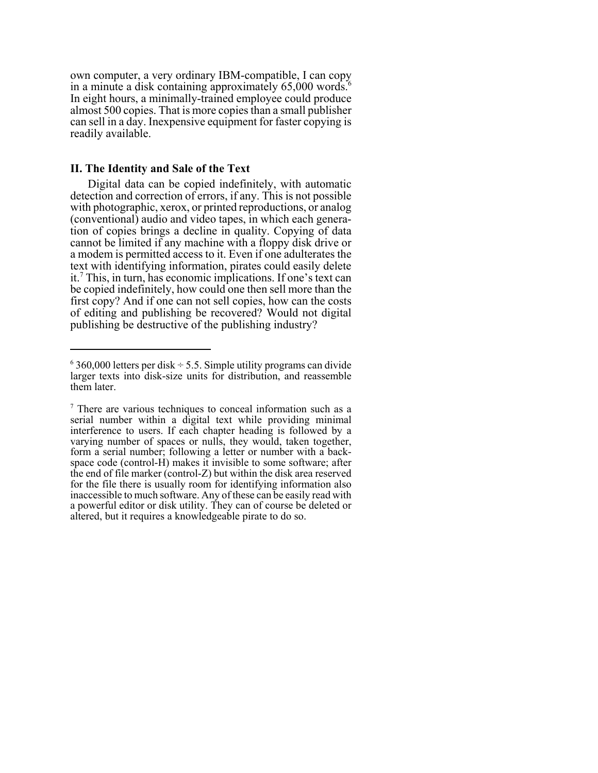own computer, a very ordinary IBM-compatible, I can copy in a minute a disk containing approximately  $65,000$  words.<sup>6</sup> In eight hours, a minimally-trained employee could produce almost 500 copies. That is more copies than a small publisher can sell in a day. Inexpensive equipment for faster copying is readily available.

#### **II. The Identity and Sale of the Text**

Digital data can be copied indefinitely, with automatic detection and correction of errors, if any. This is not possible with photographic, xerox, or printed reproductions, or analog (conventional) audio and video tapes, in which each generation of copies brings a decline in quality. Copying of data cannot be limited if any machine with a floppy disk drive or a modem is permitted access to it. Even if one adulterates the text with identifying information, pirates could easily delete it.7 This, in turn, has economic implications. If one's text can be copied indefinitely, how could one then sell more than the first copy? And if one can not sell copies, how can the costs of editing and publishing be recovered? Would not digital publishing be destructive of the publishing industry?

 $6$  360,000 letters per disk  $\div$  5.5. Simple utility programs can divide larger texts into disk-size units for distribution, and reassemble them later.

<sup>&</sup>lt;sup>7</sup> There are various techniques to conceal information such as a serial number within a digital text while providing minimal interference to users. If each chapter heading is followed by a varying number of spaces or nulls, they would, taken together, form a serial number; following a letter or number with a backspace code (control-H) makes it invisible to some software; after the end of file marker (control-Z) but within the disk area reserved for the file there is usually room for identifying information also inaccessible to much software. Any of these can be easily read with a powerful editor or disk utility. They can of course be deleted or altered, but it requires a knowledgeable pirate to do so.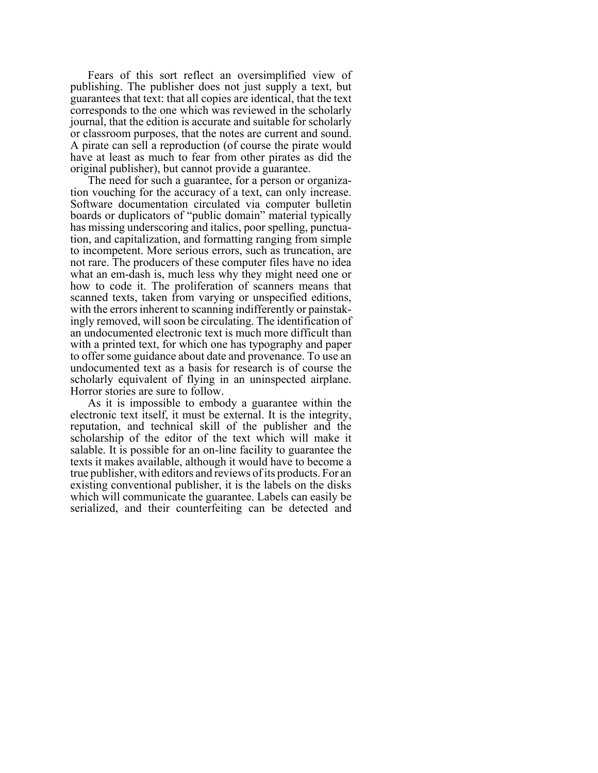Fears of this sort reflect an oversimplified view of publishing. The publisher does not just supply a text, but guarantees that text: that all copies are identical, that the text corresponds to the one which was reviewed in the scholarly journal, that the edition is accurate and suitable for scholarly or classroom purposes, that the notes are current and sound. A pirate can sell a reproduction (of course the pirate would have at least as much to fear from other pirates as did the original publisher), but cannot provide a guarantee.

The need for such a guarantee, for a person or organization vouching for the accuracy of a text, can only increase. Software documentation circulated via computer bulletin boards or duplicators of "public domain" material typically has missing underscoring and italics, poor spelling, punctuation, and capitalization, and formatting ranging from simple to incompetent. More serious errors, such as truncation, are not rare. The producers of these computer files have no idea what an em-dash is, much less why they might need one or how to code it. The proliferation of scanners means that scanned texts, taken from varying or unspecified editions, with the errors inherent to scanning indifferently or painstakingly removed, will soon be circulating. The identification of an undocumented electronic text is much more difficult than with a printed text, for which one has typography and paper to offer some guidance about date and provenance. To use an undocumented text as a basis for research is of course the scholarly equivalent of flying in an uninspected airplane. Horror stories are sure to follow.

As it is impossible to embody a guarantee within the electronic text itself, it must be external. It is the integrity, reputation, and technical skill of the publisher and the scholarship of the editor of the text which will make it salable. It is possible for an on-line facility to guarantee the texts it makes available, although it would have to become a true publisher, with editors and reviews of its products. For an existing conventional publisher, it is the labels on the disks which will communicate the guarantee. Labels can easily be serialized, and their counterfeiting can be detected and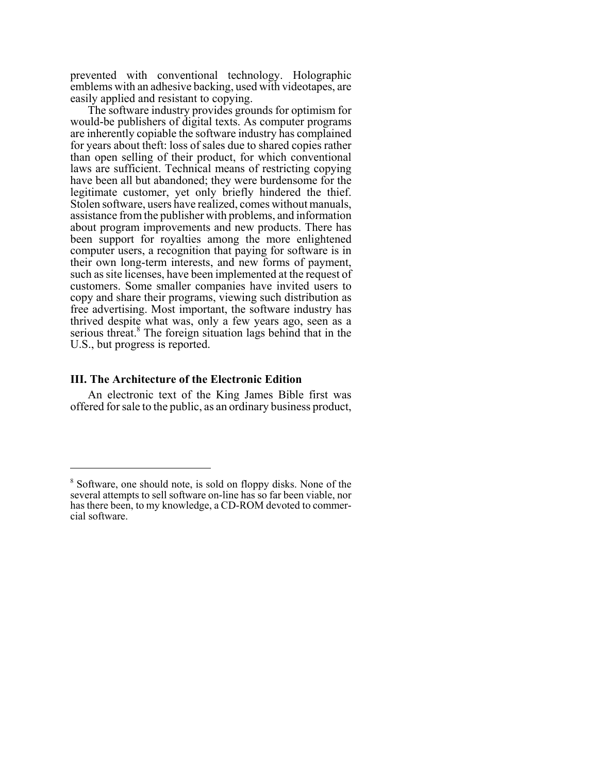prevented with conventional technology. Holographic emblems with an adhesive backing, used with videotapes, are easily applied and resistant to copying.

The software industry provides grounds for optimism for would-be publishers of digital texts. As computer programs are inherently copiable the software industry has complained for years about theft: loss of sales due to shared copies rather than open selling of their product, for which conventional laws are sufficient. Technical means of restricting copying have been all but abandoned; they were burdensome for the legitimate customer, yet only briefly hindered the thief. Stolen software, users have realized, comes without manuals, assistance from the publisher with problems, and information about program improvements and new products. There has been support for royalties among the more enlightened computer users, a recognition that paying for software is in their own long-term interests, and new forms of payment, such as site licenses, have been implemented at the request of customers. Some smaller companies have invited users to copy and share their programs, viewing such distribution as free advertising. Most important, the software industry has thrived despite what was, only a few years ago, seen as a serious threat.<sup>8</sup> The foreign situation lags behind that in the U.S., but progress is reported.

#### **III. The Architecture of the Electronic Edition**

An electronic text of the King James Bible first was offered for sale to the public, as an ordinary business product,

<sup>&</sup>lt;sup>8</sup> Software, one should note, is sold on floppy disks. None of the several attempts to sell software on-line has so far been viable, nor has there been, to my knowledge, a CD-ROM devoted to commercial software.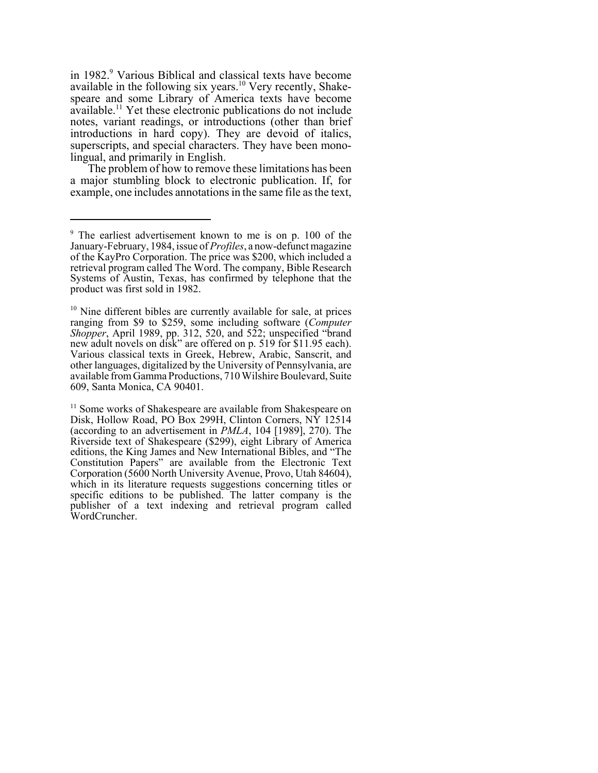in 1982.<sup>9</sup> Various Biblical and classical texts have become available in the following six years.<sup>10</sup> Very recently, Shakespeare and some Library of America texts have become available.<sup>11</sup> Yet these electronic publications do not include notes, variant readings, or introductions (other than brief introductions in hard copy). They are devoid of italics, superscripts, and special characters. They have been monolingual, and primarily in English.

The problem of how to remove these limitations has been a major stumbling block to electronic publication. If, for example, one includes annotations in the same file as the text,

<sup>11</sup> Some works of Shakespeare are available from Shakespeare on Disk, Hollow Road, PO Box 299H, Clinton Corners, NY 12514 (according to an advertisement in *PMLA*, 104 [1989], 270). The Riverside text of Shakespeare (\$299), eight Library of America editions, the King James and New International Bibles, and "The Constitution Papers" are available from the Electronic Text Corporation (5600 North University Avenue, Provo, Utah 84604), which in its literature requests suggestions concerning titles or specific editions to be published. The latter company is the publisher of a text indexing and retrieval program called WordCruncher.

<sup>&</sup>lt;sup>9</sup> The earliest advertisement known to me is on p. 100 of the January-February, 1984, issue of *Profiles*, a now-defunct magazine of the KayPro Corporation. The price was \$200, which included a retrieval program called The Word. The company, Bible Research Systems of Austin, Texas, has confirmed by telephone that the product was first sold in 1982.

 $10$  Nine different bibles are currently available for sale, at prices ranging from \$9 to \$259, some including software (*Computer Shopper*, April 1989, pp. 312, 520, and 522; unspecified "brand new adult novels on disk" are offered on p. 519 for \$11.95 each). Various classical texts in Greek, Hebrew, Arabic, Sanscrit, and other languages, digitalized by the University of Pennsylvania, are available from Gamma Productions, 710 Wilshire Boulevard, Suite 609, Santa Monica, CA 90401.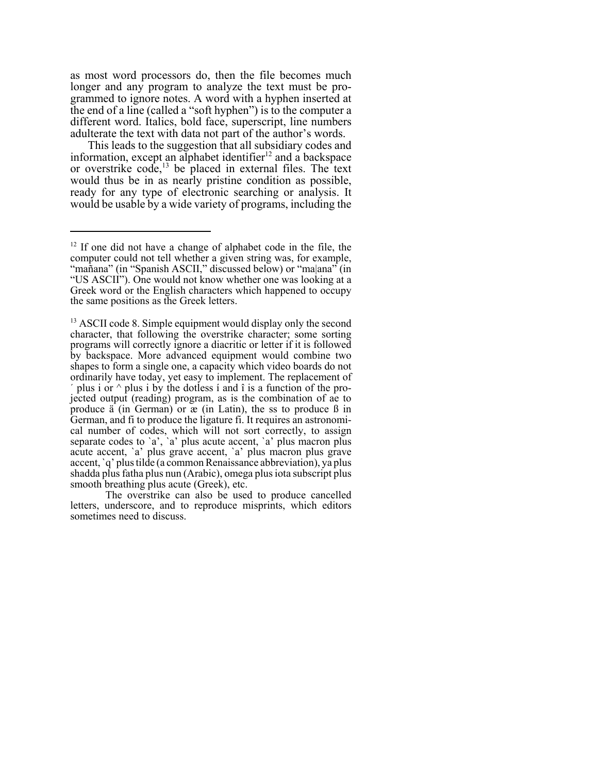as most word processors do, then the file becomes much longer and any program to analyze the text must be programmed to ignore notes. A word with a hyphen inserted at the end of a line (called a "soft hyphen") is to the computer a different word. Italics, bold face, superscript, line numbers adulterate the text with data not part of the author's words.

This leads to the suggestion that all subsidiary codes and information, except an alphabet identifier<sup>12</sup> and a backspace or overstrike code,<sup>13</sup> be placed in external files. The text would thus be in as nearly pristine condition as possible, ready for any type of electronic searching or analysis. It would be usable by a wide variety of programs, including the

<sup>&</sup>lt;sup>12</sup> If one did not have a change of alphabet code in the file, the computer could not tell whether a given string was, for example, "mañana" (in "Spanish ASCII," discussed below) or "ma|ana" (in "US ASCII"). One would not know whether one was looking at a Greek word or the English characters which happened to occupy the same positions as the Greek letters.

<sup>&</sup>lt;sup>13</sup> ASCII code 8. Simple equipment would display only the second character, that following the overstrike character; some sorting programs will correctly ignore a diacritic or letter if it is followed by backspace. More advanced equipment would combine two shapes to form a single one, a capacity which video boards do not ordinarily have today, yet easy to implement. The replacement of plus i or  $\land$  plus i by the dotless i and  $\hat{\imath}$  is a function of the projected output (reading) program, as is the combination of ae to produce ä (in German) or æ (in Latin), the ss to produce ß in German, and fi to produce the ligature fi. It requires an astronomical number of codes, which will not sort correctly, to assign separate codes to `a', `a' plus acute accent, `a' plus macron plus acute accent, `a' plus grave accent, `a' plus macron plus grave accent, `q' plus tilde (a common Renaissance abbreviation), ya plus shadda plus fatha plus nun (Arabic), omega plus iota subscript plus smooth breathing plus acute (Greek), etc.

The overstrike can also be used to produce cancelled letters, underscore, and to reproduce misprints, which editors sometimes need to discuss.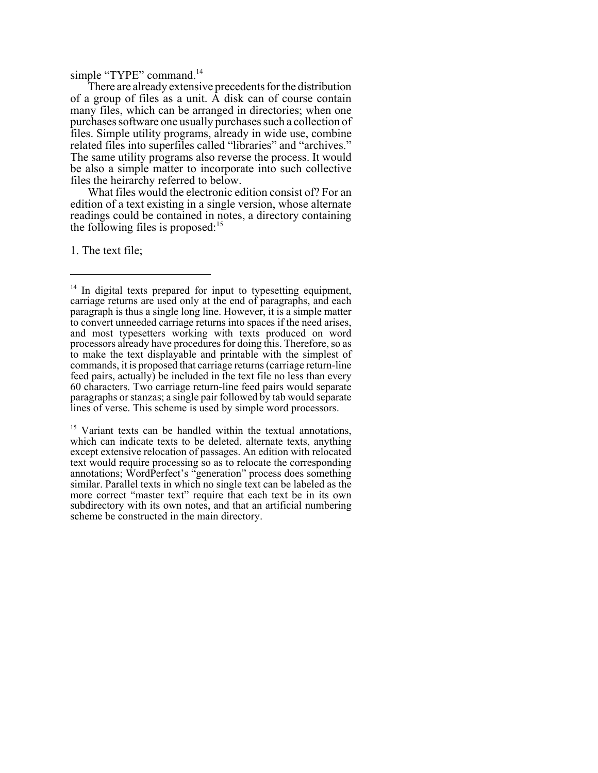simple "TYPE" command.<sup>14</sup>

There are already extensive precedents for the distribution of a group of files as a unit. A disk can of course contain many files, which can be arranged in directories; when one purchases software one usually purchases such a collection of files. Simple utility programs, already in wide use, combine related files into superfiles called "libraries" and "archives." The same utility programs also reverse the process. It would be also a simple matter to incorporate into such collective files the heirarchy referred to below.

What files would the electronic edition consist of? For an edition of a text existing in a single version, whose alternate readings could be contained in notes, a directory containing the following files is proposed: $15$ 

1. The text file;

<sup>15</sup> Variant texts can be handled within the textual annotations, which can indicate texts to be deleted, alternate texts, anything except extensive relocation of passages. An edition with relocated text would require processing so as to relocate the corresponding annotations; WordPerfect's "generation" process does something similar. Parallel texts in which no single text can be labeled as the more correct "master text" require that each text be in its own subdirectory with its own notes, and that an artificial numbering scheme be constructed in the main directory.

<sup>&</sup>lt;sup>14</sup> In digital texts prepared for input to typesetting equipment, carriage returns are used only at the end of paragraphs, and each paragraph is thus a single long line. However, it is a simple matter to convert unneeded carriage returns into spaces if the need arises, and most typesetters working with texts produced on word processors already have procedures for doing this. Therefore, so as to make the text displayable and printable with the simplest of commands, it is proposed that carriage returns (carriage return-line feed pairs, actually) be included in the text file no less than every 60 characters. Two carriage return-line feed pairs would separate paragraphs or stanzas; a single pair followed by tab would separate lines of verse. This scheme is used by simple word processors.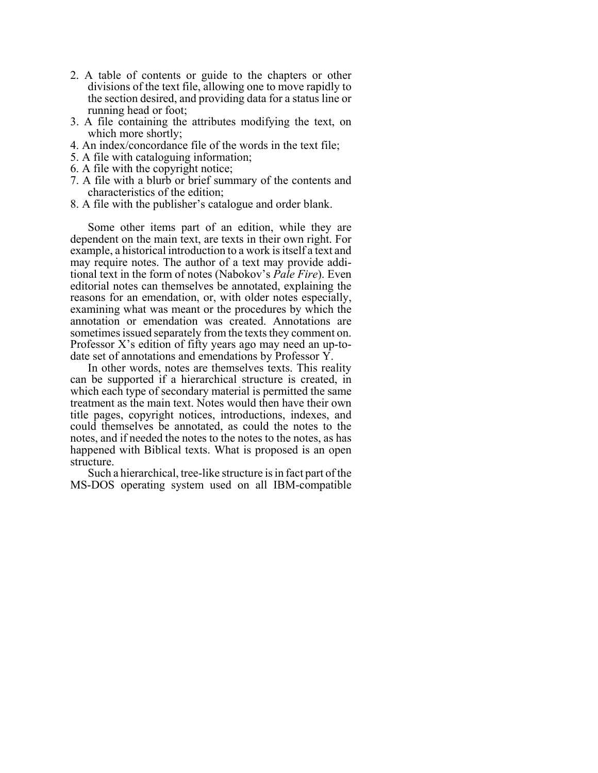- 2. A table of contents or guide to the chapters or other divisions of the text file, allowing one to move rapidly to the section desired, and providing data for a status line or running head or foot;
- 3. A file containing the attributes modifying the text, on which more shortly;
- 4. An index/concordance file of the words in the text file;
- 5. A file with cataloguing information;
- 6. A file with the copyright notice;
- 7. A file with a blurb or brief summary of the contents and characteristics of the edition;
- 8. A file with the publisher's catalogue and order blank.

Some other items part of an edition, while they are dependent on the main text, are texts in their own right. For example, a historical introduction to a work is itself a text and may require notes. The author of a text may provide additional text in the form of notes (Nabokov's *Pale Fire*). Even editorial notes can themselves be annotated, explaining the reasons for an emendation, or, with older notes especially, examining what was meant or the procedures by which the annotation or emendation was created. Annotations are sometimes issued separately from the texts they comment on. Professor X's edition of fifty years ago may need an up-todate set of annotations and emendations by Professor Y.

In other words, notes are themselves texts. This reality can be supported if a hierarchical structure is created, in which each type of secondary material is permitted the same treatment as the main text. Notes would then have their own title pages, copyright notices, introductions, indexes, and could themselves be annotated, as could the notes to the notes, and if needed the notes to the notes to the notes, as has happened with Biblical texts. What is proposed is an open structure.

Such a hierarchical, tree-like structure is in fact part of the MS-DOS operating system used on all IBM-compatible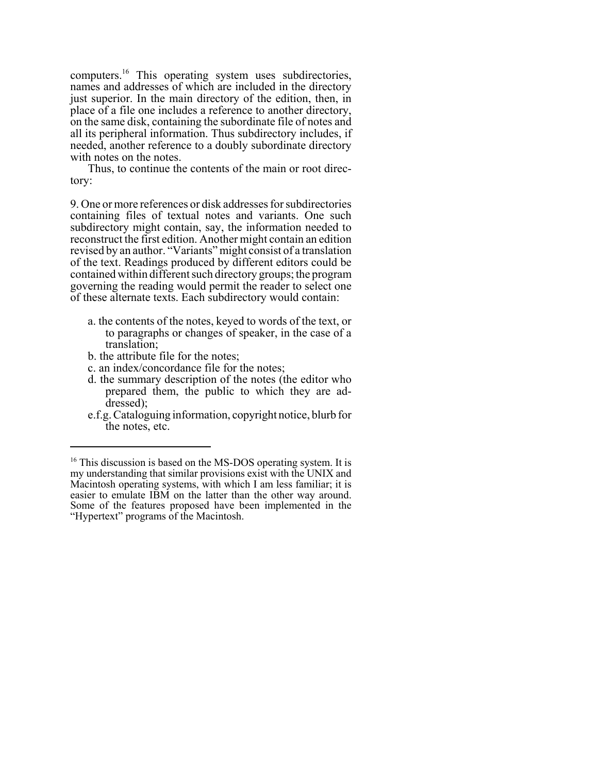computers.16 This operating system uses subdirectories, names and addresses of which are included in the directory just superior. In the main directory of the edition, then, in place of a file one includes a reference to another directory, on the same disk, containing the subordinate file of notes and all its peripheral information. Thus subdirectory includes, if needed, another reference to a doubly subordinate directory with notes on the notes.

Thus, to continue the contents of the main or root directory:

9. One or more references or disk addresses for subdirectories containing files of textual notes and variants. One such subdirectory might contain, say, the information needed to reconstruct the first edition. Another might contain an edition revised by an author. "Variants" might consist of a translation of the text. Readings produced by different editors could be contained within different such directory groups; the program governing the reading would permit the reader to select one of these alternate texts. Each subdirectory would contain:

- a. the contents of the notes, keyed to words of the text, or to paragraphs or changes of speaker, in the case of a translation;
- b. the attribute file for the notes;
- c. an index/concordance file for the notes;
- d. the summary description of the notes (the editor who prepared them, the public to which they are addressed);
- e.f.g. Cataloguing information, copyright notice, blurb for the notes, etc.

<sup>&</sup>lt;sup>16</sup> This discussion is based on the MS-DOS operating system. It is my understanding that similar provisions exist with the UNIX and Macintosh operating systems, with which I am less familiar; it is easier to emulate IBM on the latter than the other way around. Some of the features proposed have been implemented in the "Hypertext" programs of the Macintosh.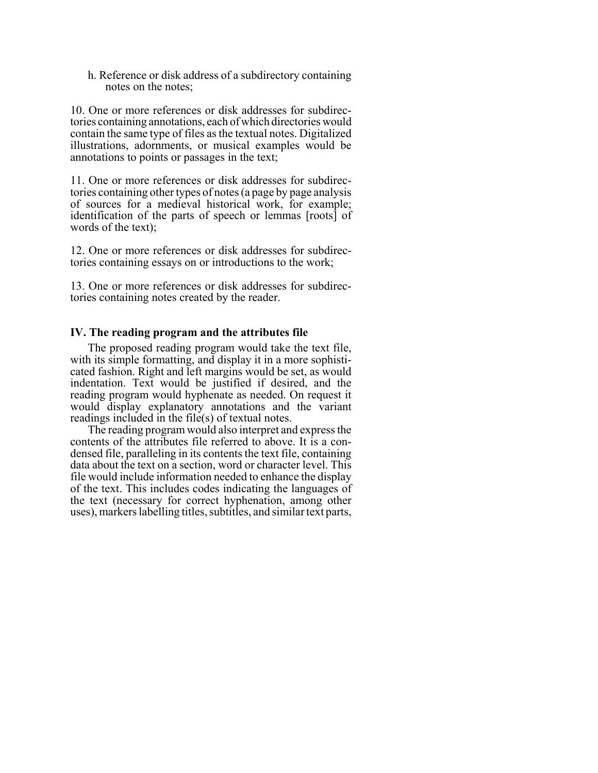h. Reference or disk address of a subdirectory containing notes on the notes;

10. One or more references or disk addresses for subdirectories containing annotations, each of which directories would contain the same type of files as the textual notes. Digitalized illustrations, adornments, or musical examples would be annotations to points or passages in the text;

11. One or more references or disk addresses for subdirectories containing other types of notes (a page by page analysis of sources for a medieval historical work, for example; identification of the parts of speech or lemmas [roots] of words of the text);

12. One or more references or disk addresses for subdirectories containing essays on or introductions to the work;

13. One or more references or disk addresses for subdirectories containing notes created by the reader.

## **IV. The reading program and the attributes file**

The proposed reading program would take the text file, with its simple formatting, and display it in a more sophisticated fashion. Right and left margins would be set, as would indentation. Text would be justified if desired, and the reading program would hyphenate as needed. On request it would display explanatory annotations and the variant readings included in the file(s) of textual notes.

The reading program would also interpret and express the contents of the attributes file referred to above. It is a condensed file, paralleling in its contents the text file, containing data about the text on a section, word or character level. This file would include information needed to enhance the display of the text. This includes codes indicating the languages of the text (necessary for correct hyphenation, among other uses), markers labelling titles, subtitles, and similar text parts,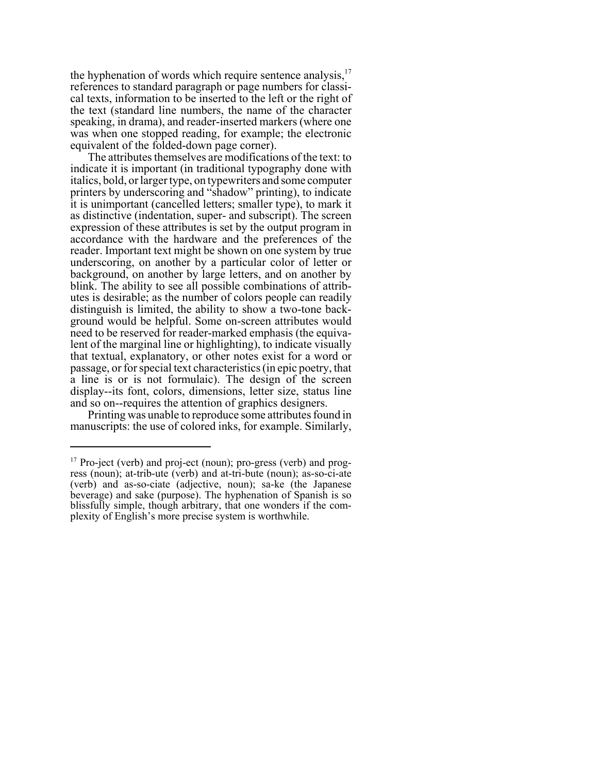the hyphenation of words which require sentence analysis, $17$ references to standard paragraph or page numbers for classical texts, information to be inserted to the left or the right of the text (standard line numbers, the name of the character speaking, in drama), and reader-inserted markers (where one was when one stopped reading, for example; the electronic equivalent of the folded-down page corner).

The attributes themselves are modifications of the text: to indicate it is important (in traditional typography done with italics, bold, or larger type, on typewriters and some computer printers by underscoring and "shadow" printing), to indicate it is unimportant (cancelled letters; smaller type), to mark it as distinctive (indentation, super- and subscript). The screen expression of these attributes is set by the output program in accordance with the hardware and the preferences of the reader. Important text might be shown on one system by true underscoring, on another by a particular color of letter or background, on another by large letters, and on another by blink. The ability to see all possible combinations of attributes is desirable; as the number of colors people can readily distinguish is limited, the ability to show a two-tone background would be helpful. Some on-screen attributes would need to be reserved for reader-marked emphasis (the equivalent of the marginal line or highlighting), to indicate visually that textual, explanatory, or other notes exist for a word or passage, or for special text characteristics (in epic poetry, that a line is or is not formulaic). The design of the screen display--its font, colors, dimensions, letter size, status line and so on--requires the attention of graphics designers.

Printing was unable to reproduce some attributes found in manuscripts: the use of colored inks, for example. Similarly,

<sup>&</sup>lt;sup>17</sup> Pro-ject (verb) and proj-ect (noun); pro-gress (verb) and progress (noun); at-trib-ute (verb) and at-tri-bute (noun); as-so-ci-ate (verb) and as-so-ciate (adjective, noun); sa-ke (the Japanese beverage) and sake (purpose). The hyphenation of Spanish is so blissfully simple, though arbitrary, that one wonders if the complexity of English's more precise system is worthwhile.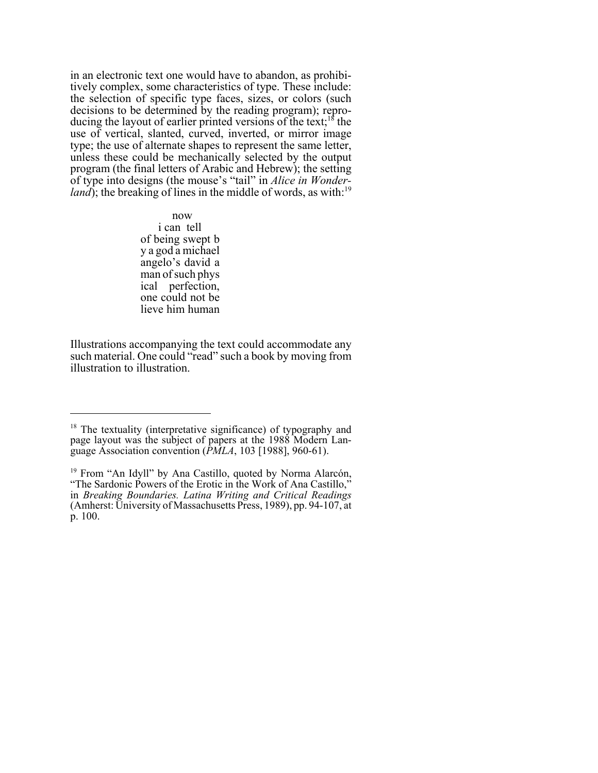in an electronic text one would have to abandon, as prohibitively complex, some characteristics of type. These include: the selection of specific type faces, sizes, or colors (such decisions to be determined by the reading program); reproducing the layout of earlier printed versions of the text;<sup>18</sup> the use of vertical, slanted, curved, inverted, or mirror image type; the use of alternate shapes to represent the same letter, unless these could be mechanically selected by the output program (the final letters of Arabic and Hebrew); the setting of type into designs (the mouse's "tail" in *Alice in Wonderland*); the breaking of lines in the middle of words, as with:<sup>19</sup>

> now i can tell of being swept b y a god a michael angelo's david a man of such phys ical perfection, one could not be lieve him human

Illustrations accompanying the text could accommodate any such material. One could "read" such a book by moving from illustration to illustration.

<sup>&</sup>lt;sup>18</sup> The textuality (interpretative significance) of typography and page layout was the subject of papers at the 1988 Modern Language Association convention (*PMLA*, 103 [1988], 960-61).

<sup>&</sup>lt;sup>19</sup> From "An Idyll" by Ana Castillo, quoted by Norma Alarcón, "The Sardonic Powers of the Erotic in the Work of Ana Castillo," in *Breaking Boundaries. Latina Writing and Critical Readings* (Amherst: University of Massachusetts Press, 1989), pp. 94-107, at p. 100.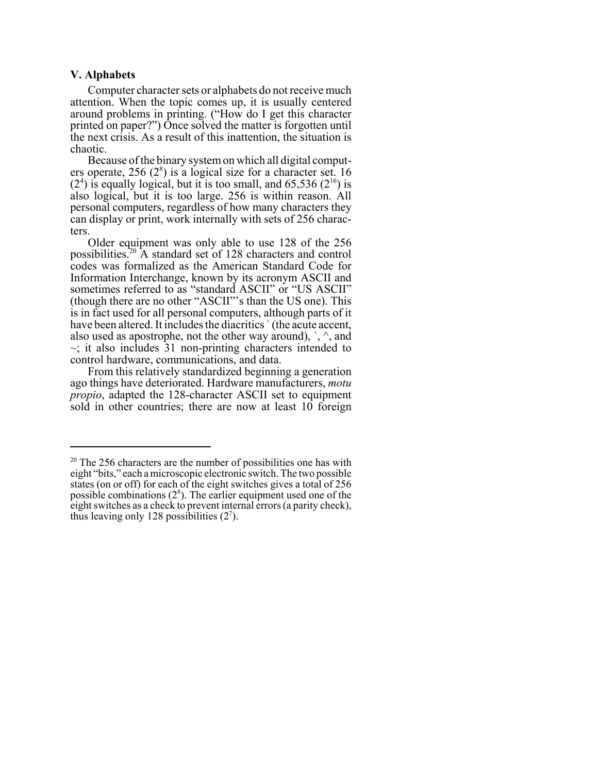#### **V. Alphabets**

Computer character sets or alphabets do not receive much attention. When the topic comes up, it is usually centered around problems in printing. ("How do I get this character printed on paper?") Once solved the matter is forgotten until the next crisis. As a result of this inattention, the situation is chaotic.

Because of the binary system on which all digital computers operate,  $256 (2<sup>8</sup>)$  is a logical size for a character set. 16  $(2<sup>4</sup>)$  is equally logical, but it is too small, and 65,536  $(2<sup>16</sup>)$  is also logical, but it is too large. 256 is within reason. All personal computers, regardless of how many characters they can display or print, work internally with sets of 256 characters.

Older equipment was only able to use 128 of the 256 possibilities.20 A standard set of 128 characters and control codes was formalized as the American Standard Code for Information Interchange, known by its acronym ASCII and sometimes referred to as "standard ASCII" or "US ASCII" (though there are no other "ASCII"'s than the US one). This is in fact used for all personal computers, although parts of it have been altered. It includes the diacritics ' (the acute accent, also used as apostrophe, not the other way around),  $\cdot$ ,  $\wedge$ , and  $\sim$ ; it also includes 31 non-printing characters intended to control hardware, communications, and data.

From this relatively standardized beginning a generation ago things have deteriorated. Hardware manufacturers, *motu propio*, adapted the 128-character ASCII set to equipment sold in other countries; there are now at least 10 foreign

 $20$  The 256 characters are the number of possibilities one has with eight "bits," each a microscopic electronic switch. The two possible states (on or off) for each of the eight switches gives a total of 256 possible combinations  $(2^8)$ . The earlier equipment used one of the eight switches as a check to prevent internal errors (a parity check), thus leaving only 128 possibilities  $(2^7)$ .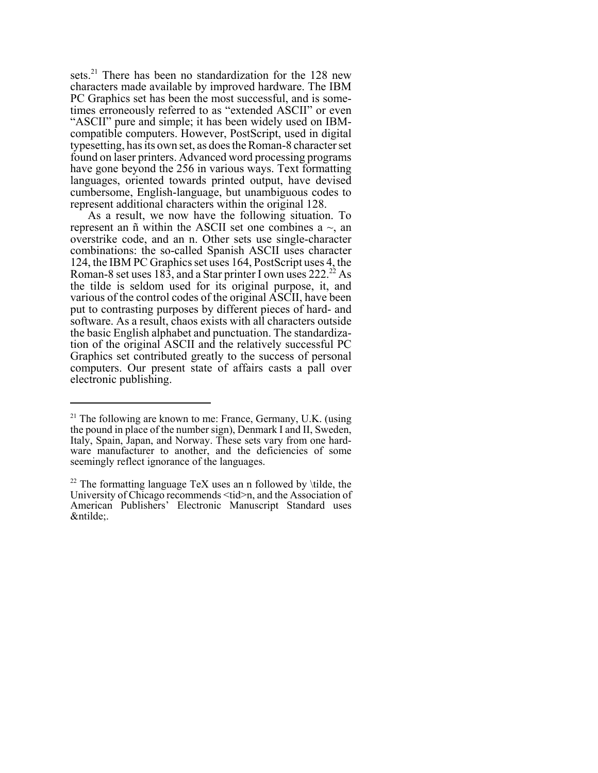sets.<sup>21</sup> There has been no standardization for the 128 new characters made available by improved hardware. The IBM PC Graphics set has been the most successful, and is sometimes erroneously referred to as "extended ASCII" or even "ASCII" pure and simple; it has been widely used on IBMcompatible computers. However, PostScript, used in digital typesetting, has its own set, as does the Roman-8 character set found on laser printers. Advanced word processing programs have gone beyond the 256 in various ways. Text formatting languages, oriented towards printed output, have devised cumbersome, English-language, but unambiguous codes to represent additional characters within the original 128.

As a result, we now have the following situation. To represent an  $\tilde{n}$  within the ASCII set one combines a  $\sim$ , an overstrike code, and an n. Other sets use single-character combinations: the so-called Spanish ASCII uses character 124, the IBM PC Graphics set uses 164, PostScript uses 4, the Roman-8 set uses  $18\overline{3}$ , and a Star printer I own uses  $222.^{22}$  As the tilde is seldom used for its original purpose, it, and various of the control codes of the original ASCII, have been put to contrasting purposes by different pieces of hard- and software. As a result, chaos exists with all characters outside the basic English alphabet and punctuation. The standardization of the original ASCII and the relatively successful PC Graphics set contributed greatly to the success of personal computers. Our present state of affairs casts a pall over electronic publishing.

 $21$  The following are known to me: France, Germany, U.K. (using the pound in place of the number sign), Denmark I and II, Sweden, Italy, Spain, Japan, and Norway. These sets vary from one hardware manufacturer to another, and the deficiencies of some seemingly reflect ignorance of the languages.

<sup>&</sup>lt;sup>22</sup> The formatting language TeX uses an n followed by  $\tilde{b}$  tilde, the University of Chicago recommends <tid>n, and the Association of American Publishers' Electronic Manuscript Standard uses &ntilde: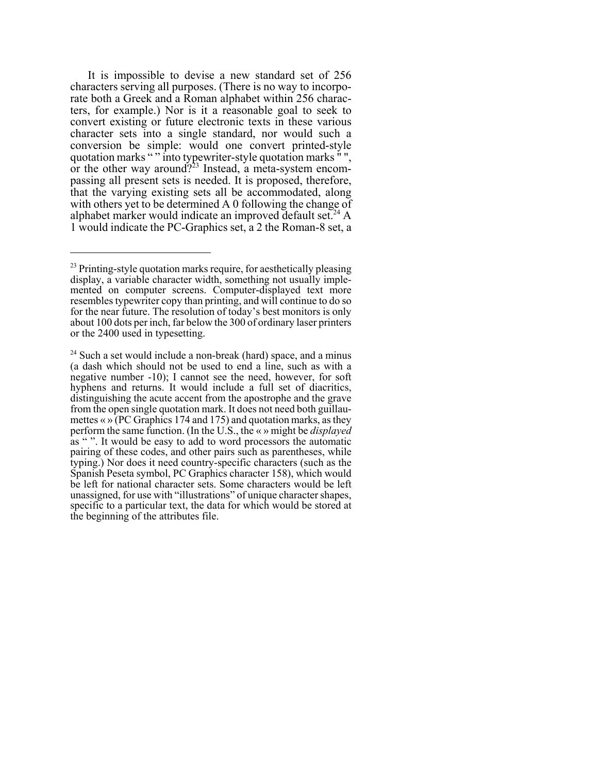It is impossible to devise a new standard set of 256 characters serving all purposes. (There is no way to incorporate both a Greek and a Roman alphabet within 256 characters, for example.) Nor is it a reasonable goal to seek to convert existing or future electronic texts in these various character sets into a single standard, nor would such a conversion be simple: would one convert printed-style quotation marks " " into typewriter-style quotation marks " " or the other way around?<sup>23</sup> Instead, a meta-system encompassing all present sets is needed. It is proposed, therefore, that the varying existing sets all be accommodated, along with others yet to be determined A 0 following the change of alphabet marker would indicate an improved default set.<sup>24</sup> A 1 would indicate the PC-Graphics set, a 2 the Roman-8 set, a

 $^{23}$  Printing-style quotation marks require, for aesthetically pleasing display, a variable character width, something not usually implemented on computer screens. Computer-displayed text more resembles typewriter copy than printing, and will continue to do so for the near future. The resolution of today's best monitors is only about 100 dots per inch, far below the 300 of ordinary laser printers or the 2400 used in typesetting.

 $24$  Such a set would include a non-break (hard) space, and a minus (a dash which should not be used to end a line, such as with a negative number -10); I cannot see the need, however, for soft hyphens and returns. It would include a full set of diacritics, distinguishing the acute accent from the apostrophe and the grave from the open single quotation mark. It does not need both guillaumettes « » (PC Graphics 174 and 175) and quotation marks, as they perform the same function. (In the U.S., the « » might be *displayed* as " ". It would be easy to add to word processors the automatic pairing of these codes, and other pairs such as parentheses, while typing.) Nor does it need country-specific characters (such as the Spanish Peseta symbol, PC Graphics character 158), which would be left for national character sets. Some characters would be left unassigned, for use with "illustrations" of unique character shapes, specific to a particular text, the data for which would be stored at the beginning of the attributes file.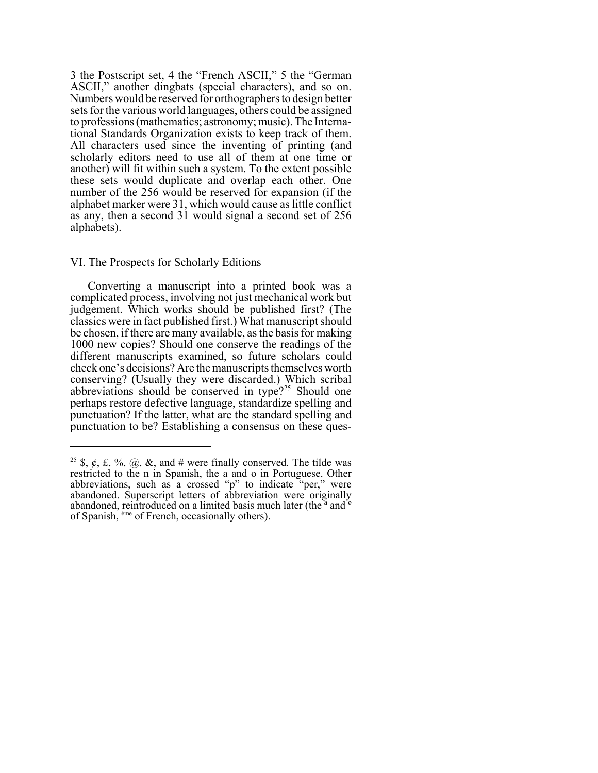3 the Postscript set, 4 the "French ASCII," 5 the "German ASCII," another dingbats (special characters), and so on. Numbers would be reserved for orthographers to design better sets for the various world languages, others could be assigned to professions (mathematics; astronomy; music). The International Standards Organization exists to keep track of them. All characters used since the inventing of printing (and scholarly editors need to use all of them at one time or another) will fit within such a system. To the extent possible these sets would duplicate and overlap each other. One number of the 256 would be reserved for expansion (if the alphabet marker were 31, which would cause as little conflict as any, then a second 31 would signal a second set of 256 alphabets).

#### VI. The Prospects for Scholarly Editions

Converting a manuscript into a printed book was a complicated process, involving not just mechanical work but judgement. Which works should be published first? (The classics were in fact published first.) What manuscript should be chosen, if there are many available, as the basis for making 1000 new copies? Should one conserve the readings of the different manuscripts examined, so future scholars could check one's decisions? Are the manuscripts themselves worth conserving? (Usually they were discarded.) Which scribal abbreviations should be conserved in type? $25$  Should one perhaps restore defective language, standardize spelling and punctuation? If the latter, what are the standard spelling and punctuation to be? Establishing a consensus on these ques-

<sup>&</sup>lt;sup>25</sup> \$,  $\phi$ , £, %, @, &, and # were finally conserved. The tilde was restricted to the n in Spanish, the a and o in Portuguese. Other abbreviations, such as a crossed "p" to indicate "per," were abandoned. Superscript letters of abbreviation were originally abandoned, reintroduced on a limited basis much later (the<sup>"</sup> and<sup>"</sup> of Spanish, ème of French, occasionally others).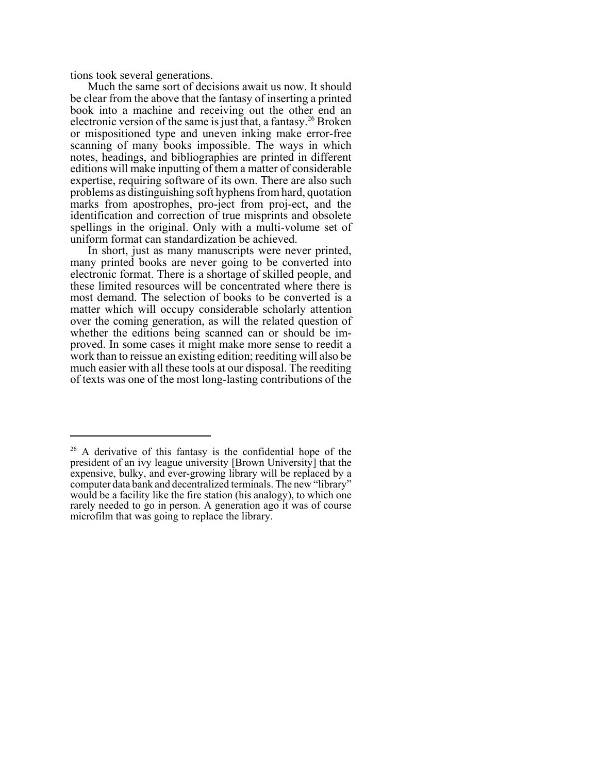tions took several generations.

Much the same sort of decisions await us now. It should be clear from the above that the fantasy of inserting a printed book into a machine and receiving out the other end an electronic version of the same is just that, a fantasy.<sup>26</sup> Broken or mispositioned type and uneven inking make error-free scanning of many books impossible. The ways in which notes, headings, and bibliographies are printed in different editions will make inputting of them a matter of considerable expertise, requiring software of its own. There are also such problems as distinguishing soft hyphens from hard, quotation marks from apostrophes, pro-ject from proj-ect, and the identification and correction of true misprints and obsolete spellings in the original. Only with a multi-volume set of uniform format can standardization be achieved.

In short, just as many manuscripts were never printed, many printed books are never going to be converted into electronic format. There is a shortage of skilled people, and these limited resources will be concentrated where there is most demand. The selection of books to be converted is a matter which will occupy considerable scholarly attention over the coming generation, as will the related question of whether the editions being scanned can or should be improved. In some cases it might make more sense to reedit a work than to reissue an existing edition; reediting will also be much easier with all these tools at our disposal. The reediting of texts was one of the most long-lasting contributions of the

<sup>&</sup>lt;sup>26</sup> A derivative of this fantasy is the confidential hope of the president of an ivy league university [Brown University] that the expensive, bulky, and ever-growing library will be replaced by a computer data bank and decentralized terminals. The new "library" would be a facility like the fire station (his analogy), to which one rarely needed to go in person. A generation ago it was of course microfilm that was going to replace the library.